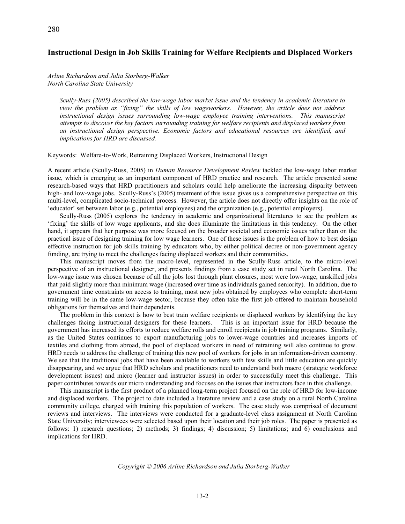# **Instructional Design in Job Skills Training for Welfare Recipients and Displaced Workers**

*Arline Richardson and Julia Storberg-Walker North Carolina State University* 

*Scully-Russ (2005) described the low-wage labor market issue and the tendency in academic literature to view the problem as "fixing" the skills of low wageworkers. However, the article does not address instructional design issues surrounding low-wage employee training interventions. This manuscript attempts to discover the key factors surrounding training for welfare recipients and displaced workers from an instructional design perspective. Economic factors and educational resources are identified, and implications for HRD are discussed.* 

Keywords: Welfare-to-Work, Retraining Displaced Workers, Instructional Design

A recent article (Scully-Russ, 2005) in *Human Resource Development Review* tackled the low-wage labor market issue, which is emerging as an important component of HRD practice and research. The article presented some research-based ways that HRD practitioners and scholars could help ameliorate the increasing disparity between high- and low-wage jobs. Scully-Russ's (2005) treatment of this issue gives us a comprehensive perspective on this multi-level, complicated socio-technical process. However, the article does not directly offer insights on the role of 'educator' set between labor (e.g., potential employees) and the organization (e.g., potential employers).

Scully-Russ (2005) explores the tendency in academic and organizational literatures to see the problem as 'fixing' the skills of low wage applicants, and she does illuminate the limitations in this tendency. On the other hand, it appears that her purpose was more focused on the broader societal and economic issues rather than on the practical issue of designing training for low wage learners. One of these issues is the problem of how to best design effective instruction for job skills training by educators who, by either political decree or non-government agency funding, are trying to meet the challenges facing displaced workers and their communities.

This manuscript moves from the macro-level, represented in the Scully-Russ article, to the micro-level perspective of an instructional designer, and presents findings from a case study set in rural North Carolina. The low-wage issue was chosen because of all the jobs lost through plant closures, most were low-wage, unskilled jobs that paid slightly more than minimum wage (increased over time as individuals gained seniority). In addition, due to government time constraints on access to training, most new jobs obtained by employees who complete short-term training will be in the same low-wage sector, because they often take the first job offered to maintain household obligations for themselves and their dependents.

The problem in this context is how to best train welfare recipients or displaced workers by identifying the key challenges facing instructional designers for these learners. This is an important issue for HRD because the government has increased its efforts to reduce welfare rolls and enroll recipients in job training programs. Similarly, as the United States continues to export manufacturing jobs to lower-wage countries and increases imports of textiles and clothing from abroad, the pool of displaced workers in need of retraining will also continue to grow. HRD needs to address the challenge of training this new pool of workers for jobs in an information-driven economy. We see that the traditional jobs that have been available to workers with few skills and little education are quickly disappearing, and we argue that HRD scholars and practitioners need to understand both macro (strategic workforce development issues) and micro (learner and instructor issues) in order to successfully meet this challenge. This paper contributes towards our micro understanding and focuses on the issues that instructors face in this challenge.

 This manuscript is the first product of a planned long-term project focused on the role of HRD for low-income and displaced workers. The project to date included a literature review and a case study on a rural North Carolina community college, charged with training this population of workers. The case study was comprised of document reviews and interviews. The interviews were conducted for a graduate-level class assignment at North Carolina State University; interviewees were selected based upon their location and their job roles. The paper is presented as follows: 1) research questions; 2) methods; 3) findings; 4) discussion; 5) limitations; and 6) conclusions and implications for HRD.

*Copyright © 2006 Arline Richardson and Julia Storberg-Walker*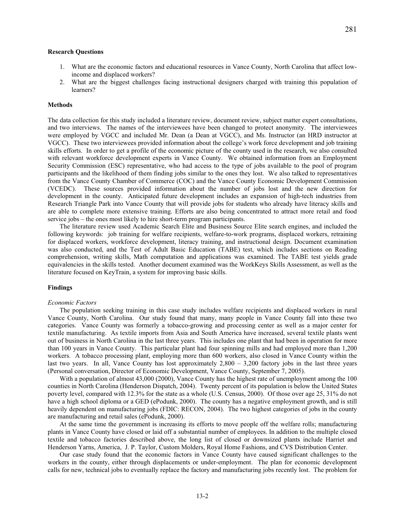#### **Research Questions**

- 1. What are the economic factors and educational resources in Vance County, North Carolina that affect lowincome and displaced workers?
- 2. What are the biggest challenges facing instructional designers charged with training this population of learners?

#### **Methods**

The data collection for this study included a literature review, document review, subject matter expert consultations, and two interviews. The names of the interviewees have been changed to protect anonymity. The interviewees were employed by VGCC and included Mr. Dean (a Dean at VGCC), and Ms. Instructor (an HRD instructor at VGCC). These two interviewees provided information about the college's work force development and job training skills efforts. In order to get a profile of the economic picture of the county used in the research, we also consulted with relevant workforce development experts in Vance County. We obtained information from an Employment Security Commission (ESC) representative, who had access to the type of jobs available to the pool of program participants and the likelihood of them finding jobs similar to the ones they lost. We also talked to representatives from the Vance County Chamber of Commerce (COC) and the Vance County Economic Development Commission (VCEDC). These sources provided information about the number of jobs lost and the new direction for development in the county. Anticipated future development includes an expansion of high-tech industries from Research Triangle Park into Vance County that will provide jobs for students who already have literacy skills and are able to complete more extensive training. Efforts are also being concentrated to attract more retail and food service jobs – the ones most likely to hire short-term program participants.

The literature review used Academic Search Elite and Business Source Elite search engines, and included the following keywords: job training for welfare recipients, welfare-to-work programs, displaced workers, retraining for displaced workers, workforce development, literacy training, and instructional design. Document examination was also conducted, and the Test of Adult Basic Education (TABE) test, which includes sections on Reading comprehension, writing skills, Math computation and applications was examined. The TABE test yields grade equivalencies in the skills tested. Another document examined was the WorkKeys Skills Assessment, as well as the literature focused on KeyTrain, a system for improving basic skills.

#### **Findings**

#### *Economic Factors*

The population seeking training in this case study includes welfare recipients and displaced workers in rural Vance County, North Carolina. Our study found that many, many people in Vance County fall into these two categories. Vance County was formerly a tobacco-growing and processing center as well as a major center for textile manufacturing. As textile imports from Asia and South America have increased, several textile plants went out of business in North Carolina in the last three years. This includes one plant that had been in operation for more than 100 years in Vance County. This particular plant had four spinning mills and had employed more than 1,200 workers. A tobacco processing plant, employing more than 600 workers, also closed in Vance County within the last two years. In all, Vance County has lost approximately 2,800 – 3,200 factory jobs in the last three years (Personal conversation, Director of Economic Development, Vance County, September 7, 2005).

With a population of almost 43,000 (2000), Vance County has the highest rate of unemployment among the 100 counties in North Carolina (Henderson Dispatch, 2004). Twenty percent of its population is below the United States poverty level, compared with 12.3% for the state as a whole (U.S. Census, 2000). Of those over age 25, 31% do not have a high school diploma or a GED (ePodunk, 2000). The county has a negative employment growth, and is still heavily dependent on manufacturing jobs (FDIC: RECON, 2004). The two highest categories of jobs in the county are manufacturing and retail sales (ePodunk, 2000).

At the same time the government is increasing its efforts to move people off the welfare rolls; manufacturing plants in Vance County have closed or laid off a substantial number of employees. In addition to the multiple closed textile and tobacco factories described above, the long list of closed or downsized plants include Harriet and Henderson Yarns, America, J. P. Taylor, Custom Molders, Royal Home Fashions, and CVS Distribution Center.

Our case study found that the economic factors in Vance County have caused significant challenges to the workers in the county, either through displacements or under-employment. The plan for economic development calls for new, technical jobs to eventually replace the factory and manufacturing jobs recently lost. The problem for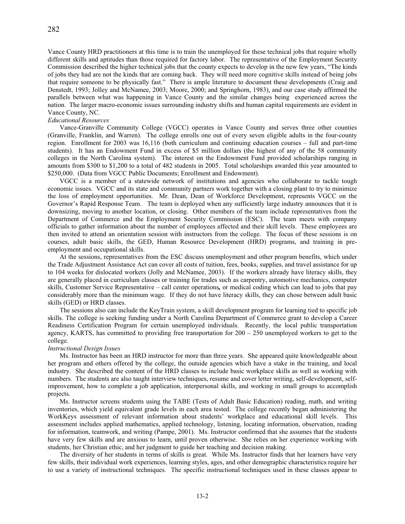Vance County HRD practitioners at this time is to train the unemployed for these technical jobs that require wholly different skills and aptitudes than those required for factory labor. The representative of the Employment Security Commission described the higher technical jobs that the county expects to develop in the new few years, "The kinds of jobs they had are not the kinds that are coming back. They will need more cognitive skills instead of being jobs that require someone to be physically fast." There is ample literature to document these developments (Craig and Denstedt, 1993; Jolley and McNamee, 2003; Moore, 2000; and Springhorn, 1983), and our case study affirmed the parallels between what was happening in Vance County and the similar changes being experienced across the nation. The larger macro-economic issues surrounding industry shifts and human capital requirements are evident in Vance County, NC.

# *Educational Resources*

Vance-Granville Community College (VGCC) operates in Vance County and serves three other counties (Granville, Franklin, and Warren). The college enrolls one out of every seven eligible adults in the four-county region. Enrollment for 2003 was 16,116 (both curriculum and continuing education courses – full and part-time students). It has an Endowment Fund in excess of \$5 million dollars (the highest of any of the 58 community colleges in the North Carolina system). The interest on the Endowment Fund provided scholarships ranging in amounts from \$300 to \$1,200 to a total of 482 students in 2005. Total scholarships awarded this year amounted to \$250,000. (Data from VGCC Public Documents; Enrollment and Endowment).

VGCC is a member of a statewide network of institutions and agencies who collaborate to tackle tough economic issues. VGCC and its state and community partners work together with a closing plant to try to minimize the loss of employment opportunities. Mr. Dean, Dean of Workforce Development, represents VGCC on the Governor's Rapid Response Team. The team is deployed when any sufficiently large industry announces that it is downsizing, moving to another location, or closing. Other members of the team include representatives from the Department of Commerce and the Employment Security Commission (ESC). The team meets with company officials to gather information about the number of employees affected and their skill levels. These employees are then invited to attend an orientation session with instructors from the college. The focus of these sessions is on courses, adult basic skills, the GED, Human Resource Development (HRD) programs, and training in preemployment and occupational skills.

At the sessions, representatives from the ESC discuss unemployment and other program benefits, which under the Trade Adjustment Assistance Act can cover all costs of tuition, fees, books, supplies, and travel assistance for up to 104 weeks for dislocated workers (Jolly and McNamee, 2003). If the workers already have literacy skills, they are generally placed in curriculum classes or training for trades such as carpentry, automotive mechanics, computer skills, Customer Service Representative – call center operations*,* or medical coding which can lead to jobs that pay considerably more than the minimum wage. If they do not have literacy skills, they can chose between adult basic skills (GED) or HRD classes.

The sessions also can include the KeyTrain system, a skill development program for learning tied to specific job skills. The college is seeking funding under a North Carolina Department of Commerce grant to develop a Career Readiness Certification Program for certain unemployed individuals. Recently, the local public transportation agency, KARTS, has committed to providing free transportation for  $200 - 250$  unemployed workers to get to the college.

# *Instructional Design Issues*

Ms. Instructor has been an HRD instructor for more than three years. She appeared quite knowledgeable about her program and others offered by the college, the outside agencies which have a stake in the training, and local industry. She described the content of the HRD classes to include basic workplace skills as well as working with numbers. The students are also taught interview techniques, resume and cover letter writing, self-development, selfimprovement, how to complete a job application, interpersonal skills, and working in small groups to accomplish projects.

Ms. Instructor screens students using the TABE (Tests of Adult Basic Education) reading, math, and writing inventories, which yield equivalent grade levels in each area tested. The college recently began administering the WorkKeys assessment of relevant information about students' workplace and educational skill levels. This assessment includes applied mathematics, applied technology, listening, locating information, observation, reading for information, teamwork, and writing (Pampe, 2001). Ms. Instructor confirmed that she assumes that the students have very few skills and are anxious to learn, until proven otherwise. She relies on her experience working with students, her Christian ethic, and her judgment to guide her teaching and decision making.

The diversity of her students in terms of skills is great. While Ms. Instructor finds that her learners have very few skills, their individual work experiences, learning styles, ages, and other demographic characteristics require her to use a variety of instructional techniques. The specific instructional techniques used in these classes appear to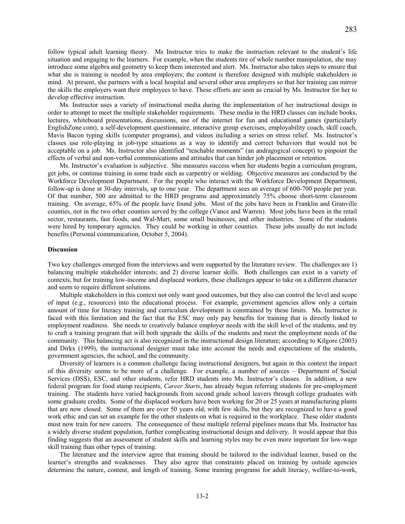follow typical adult learning theory. Ms Instructor tries to make the instruction relevant to the student's life situation and engaging to the learners. For example, when the students tire of whole number manipulation, she may introduce some algebra and geometry to keep them interested and alert. Ms. Instructor also takes steps to ensure that what she is training is needed by area employers; the content is therefore designed with multiple stakeholders in mind. At present, she partners with a local hospital and several other area employers so that her training can mirror the skills the employers want their employees to have. These efforts are seen as crucial by Ms. Instructor for her to develop effective instruction.

Ms. Instructor uses a variety of instructional media during the implementation of her instructional design in order to attempt to meet the multiple stakeholder requirements. These media in the HRD classes can include books, lectures, whiteboard presentations, discussions, use of the internet for fun and educational games (particularly EnglishZone.com), a self-development questionnaire, interactive group exercises, employability coach, skill coach, Mavis Bacon typing skills (computer programs), and videos including a series on stress relief. Ms. Instructor's classes use role-playing in job-type situations as a way to identify and correct behaviors that would not be acceptable on a job. Ms. Instructor also identified "teachable moments" (an andragogical concept) to pinpoint the effects of verbal and non-verbal communications and attitudes that can hinder job placement or retention.

Ms. Instructor's evaluation is subjective. She measures success when her students begin a curriculum program, get jobs, or continue training in some trade such as carpentry or welding. Objective measures are conducted by the Workforce Development Department. For the people who interact with the Workforce Development Department, follow-up is done at 30-day intervals, up to one year. The department sees an average of 600-700 people per year. Of that number, 500 are admitted to the HRD programs and approximately 75% choose short-term classroom training. On average, 65% of the people have found jobs. Most of the jobs have been in Franklin and Granville counties, not in the two other counties served by the college (Vance and Warren). Most jobs have been in the retail sector, restaurants, fast foods, and Wal-Mart, some small businesses, and other industries. Some of the students were hired by temporary agencies. They could be working in other counties. These jobs usually do not include benefits (Personal communication, October 5, 2004).

#### **Discussion**

Two key challenges emerged from the interviews and were supported by the literature review. The challenges are 1) balancing multiple stakeholder interests; and 2) diverse learner skills. Both challenges can exist in a variety of contexts, but for training low-income and displaced workers, these challenges appear to take on a different character and seem to require different solutions.

Multiple stakeholders in this context not only want good outcomes, but they also can control the level and scope of input (e.g., resources) into the educational process. For example, government agencies allow only a certain amount of time for literacy training and curriculum development is constrained by these limits. Ms. Instructor is faced with this limitation and the fact that the ESC may only pay benefits for training that is directly linked to employment readiness. She needs to creatively balance employer needs with the skill level of the students, and try to craft a training program that will both upgrade the skills of the students and meet the employment needs of the community. This balancing act is also recognized in the instructional design literature; according to Kilgore (2003) and Dirkx (1999), the instructional designer must take into account the needs and expectations of the students, government agencies, the school, and the community.

Diversity of learners is a common challenge facing instructional designers, but again in this context the impact of this diversity seems to be more of a challenge. For example, a number of sources – Department of Social Services (DSS), ESC, and other students, refer HRD students into Ms. Instructor's classes. In addition, a new federal program for food stamp recipients, *Career Starts*, has already begun referring students for pre-employment training. The students have varied backgrounds from second grade school leavers through college graduates with some graduate credits. Some of the displaced workers have been working for 20 or 25 years at manufacturing plants that are now closed. Some of them are over 50 years old, with few skills, but they are recognized to have a good work ethic and can set an example for the other students on what is required in the workplace. These older students must now train for new careers. The consequence of these multiple referral pipelines means that Ms. Instructor has a widely diverse student population, further complicating instructional design and delivery. It would appear that this finding suggests that an assessment of student skills and learning styles may be even more important for low-wage skill training than other types of training.

 The literature and the interview agree that training should be tailored to the individual learner, based on the learner's strengths and weaknesses. They also agree that constraints placed on training by outside agencies determine the nature, content, and length of training. Some training programs for adult literacy, welfare-to-work,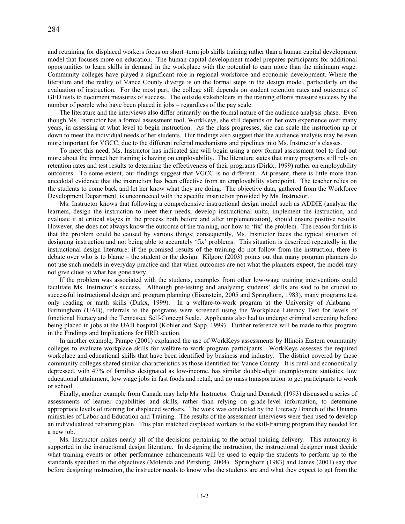and retraining for displaced workers focus on short–term job skills training rather than a human capital development model that focuses more on education. The human capital development model prepares participants for additional opportunities to learn skills in demand in the workplace with the potential to earn more than the minimum wage. Community colleges have played a significant role in regional workforce and economic development. Where the literature and the reality of Vance County diverge is on the formal steps in the design model, particularly on the evaluation of instruction. For the most part, the college still depends on student retention rates and outcomes of GED tests to document measures of success. The outside stakeholders in the training efforts measure success by the number of people who have been placed in jobs – regardless of the pay scale.

The literature and the interviews also differ primarily on the formal nature of the audience analysis phase. Even though Ms. Instructor has a formal assessment tool, WorkKeys, she still depends on her own experience over many years, in assessing at what level to begin instruction. As the class progresses, she can scale the instruction up or down to meet the individual needs of her students. Our findings also suggest that the audience analysis may be even more important for VGCC, due to the different referral mechanisms and pipelines into Ms. Instructor's classes.

To meet this need, Ms. Instructor has indicated she will begin using a new formal assessment tool to find out more about the impact her training is having on employability. The literature states that many programs still rely on retention rates and test results to determine the effectiveness of their programs (Dirkx, 1999) rather on employability outcomes. To some extent, our findings suggest that VGCC is no different. At present, there is little more than anecdotal evidence that the instruction has been effective from an employability standpoint. The teacher relies on the students to come back and let her know what they are doing. The objective data, gathered from the Workforce Development Department, is unconnected with the specific instruction provided by Ms. Instructor.

Ms. Instructor knows that following a comprehensive instructional design model such as ADDIE (analyze the learners, design the instruction to meet their needs, develop instructional units, implement the instruction, and evaluate it at critical stages in the process both before and after implementation), should ensure positive results. However, she does not always know the outcome of the training, nor how to 'fix' the problem. The reason for this is that the problem could be caused by various things; consequently, Ms. Instructor faces the typical situation of designing instruction and not being able to accurately 'fix' problems. This situation is described repeatedly in the instructional design literature: if the promised results of the training do not follow from the instruction, there is debate over who is to blame – the student or the design. Kilgore (2003) points out that many program planners do not use such models in everyday practice and that when outcomes are not what the planners expect, the model may not give clues to what has gone awry.

If the problem was associated with the students, examples from other low-wage training interventions could facilitate Ms. Instructor's success. Although pre-testing and analyzing students' skills are said to be crucial to successful instructional design and program planning (Eisenstein, 2005 and Springhorn, 1983), many programs test only reading or math skills (Dirkx, 1999). In a welfare-to-work program at the University of Alabama – Birmingham (UAB), referrals to the programs were screened using the Workplace Literacy Test for levels of functional literacy and the Tennessee Self-Concept Scale. Applicants also had to undergo criminal screening before being placed in jobs at the UAB hospital (Kohler and Sapp, 1999). Further reference will be made to this program in the Findings and Implications for HRD section.

In another example*,* Pampe (2001) explained the use of WorkKeys assessments by Illinois Eastern community colleges to evaluate workplace skills for welfare-to-work program participants. WorkKeys assesses the required workplace and educational skills that have been identified by business and industry. The district covered by these community colleges shared similar characteristics as those identified for Vance County. It is rural and economically depressed, with 47% of families designated as low-income, has similar double-digit unemployment statistics, low educational attainment, low wage jobs in fast foods and retail, and no mass transportation to get participants to work or school.

Finally, another example from Canada may help Ms. Instructor. Craig and Denstedt (1993) discussed a series of assessments of learner capabilities and skills, rather than relying on grade-level information, to determine appropriate levels of training for displaced workers. The work was conducted by the Literacy Branch of the Ontario ministries of Labor and Education and Training. The results of the assessment interviews were then used to develop an individualized retraining plan. This plan matched displaced workers to the skill-training program they needed for a new job.

Ms. Instructor makes nearly all of the decisions pertaining to the actual training delivery. This autonomy is supported in the instructional design literature. In designing the instruction, the instructional designer must decide what training events or other performance enhancements will be used to equip the students to perform up to the standards specified in the objectives (Molenda and Pershing, 2004). Springhorn (1983) and James (2001) say that before designing instruction, the instructor needs to know who the students are and what they expect to get from the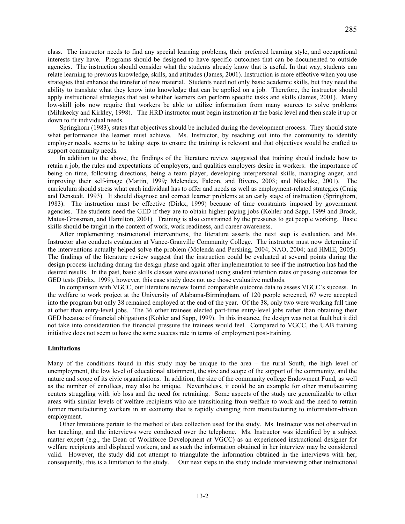class. The instructor needs to find any special learning problems*,* their preferred learning style, and occupational interests they have. Programs should be designed to have specific outcomes that can be documented to outside agencies. The instruction should consider what the students already know that is useful. In that way, students can relate learning to previous knowledge, skills, and attitudes (James, 2001). Instruction is more effective when you use strategies that enhance the transfer of new material. Students need not only basic academic skills, but they need the ability to translate what they know into knowledge that can be applied on a job. Therefore, the instructor should apply instructional strategies that test whether learners can perform specific tasks and skills (James, 2001). Many low-skill jobs now require that workers be able to utilize information from many sources to solve problems (Milukecky and Kirkley, 1998). The HRD instructor must begin instruction at the basic level and then scale it up or down to fit individual needs.

Springhorn (1983), states that objectives should be included during the development process. They should state what performance the learner must achieve. Ms. Instructor, by reaching out into the community to identify employer needs, seems to be taking steps to ensure the training is relevant and that objectives would be crafted to support community needs.

In addition to the above, the findings of the literature review suggested that training should include how to retain a job, the rules and expectations of employers, and qualities employers desire in workers: the importance of being on time, following directions, being a team player, developing interpersonal skills, managing anger, and improving their self-image (Martin, 1999*;* Melendez, Falcon, and Bivens, 2003; and Nitschke, 2001). The curriculum should stress what each individual has to offer and needs as well as employment-related strategies (Craig and Denstedt, 1993). It should diagnose and correct learner problems at an early stage of instruction (Springhorn, 1983). The instruction must be effective (Dirkx, 1999) because of time constraints imposed by government agencies. The students need the GED if they are to obtain higher-paying jobs (Kohler and Sapp, 1999 and Brock, Matus-Grossman, and Hamilton, 2001). Training is also constrained by the pressures to get people working. Basic skills should be taught in the context of work, work readiness, and career awareness.

After implementing instructional interventions, the literature asserts the next step is evaluation, and Ms. Instructor also conducts evaluation at Vance-Granville Community College. The instructor must now determine if the interventions actually helped solve the problem (Molenda and Pershing, 2004; NAO, 2004; and HMIE, 2005). The findings of the literature review suggest that the instruction could be evaluated at several points during the design process including during the design phase and again after implementation to see if the instruction has had the desired results. In the past, basic skills classes were evaluated using student retention rates or passing outcomes for GED tests (Dirkx, 1999), however, this case study does not use those evaluative methods.

In comparison with VGCC, our literature review found comparable outcome data to assess VGCC's success. In the welfare to work project at the University of Alabama-Birmingham, of 120 people screened, 67 were accepted into the program but only 38 remained employed at the end of the year. Of the 38, only two were working full time at other than entry-level jobs. The 36 other trainees elected part-time entry-level jobs rather than obtaining their GED because of financial obligations (Kohler and Sapp, 1999). In this instance, the design was not at fault but it did not take into consideration the financial pressure the trainees would feel. Compared to VGCC, the UAB training initiative does not seem to have the same success rate in terms of employment post-training.

# **Limitations**

Many of the conditions found in this study may be unique to the area – the rural South, the high level of unemployment, the low level of educational attainment, the size and scope of the support of the community, and the nature and scope of its civic organizations. In addition, the size of the community college Endowment Fund, as well as the number of enrollees, may also be unique. Nevertheless, it could be an example for other manufacturing centers struggling with job loss and the need for retraining. Some aspects of the study are generalizable to other areas with similar levels of welfare recipients who are transitioning from welfare to work and the need to retrain former manufacturing workers in an economy that is rapidly changing from manufacturing to information-driven employment.

Other limitations pertain to the method of data collection used for the study. Ms. Instructor was not observed in her teaching, and the interviews were conducted over the telephone. Ms. Instructor was identified by a subject matter expert (e.g., the Dean of Workforce Development at VGCC) as an experienced instructional designer for welfare recipients and displaced workers, and as such the information obtained in her interview may be considered valid. However, the study did not attempt to triangulate the information obtained in the interviews with her; consequently, this is a limitation to the study. Our next steps in the study include interviewing other instructional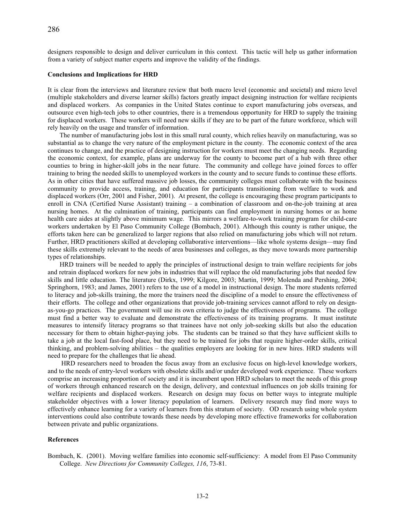designers responsible to design and deliver curriculum in this context. This tactic will help us gather information from a variety of subject matter experts and improve the validity of the findings.

# **Conclusions and Implications for HRD**

It is clear from the interviews and literature review that both macro level (economic and societal) and micro level (multiple stakeholders and diverse learner skills) factors greatly impact designing instruction for welfare recipients and displaced workers. As companies in the United States continue to export manufacturing jobs overseas, and outsource even high-tech jobs to other countries, there is a tremendous opportunity for HRD to supply the training for displaced workers. These workers will need new skills if they are to be part of the future workforce, which will rely heavily on the usage and transfer of information.

The number of manufacturing jobs lost in this small rural county, which relies heavily on manufacturing, was so substantial as to change the very nature of the employment picture in the county. The economic context of the area continues to change, and the practice of designing instruction for workers must meet the changing needs. Regarding the economic context, for example, plans are underway for the county to become part of a hub with three other counties to bring in higher-skill jobs in the near future. The community and college have joined forces to offer training to bring the needed skills to unemployed workers in the county and to secure funds to continue these efforts. As in other cities that have suffered massive job losses, the community colleges must collaborate with the business community to provide access, training, and education for participants transitioning from welfare to work and displaced workers (Orr, 2001 and Fisher, 2001). At present, the college is encouraging these program participants to enroll in CNA (Certified Nurse Assistant) training – a combination of classroom and on-the-job training at area nursing homes. At the culmination of training, participants can find employment in nursing homes or as home health care aides at slightly above minimum wage. This mirrors a welfare-to-work training program for child-care workers undertaken by El Paso Community College (Bombach, 2001). Although this county is rather unique, the efforts taken here can be generalized to larger regions that also relied on manufacturing jobs which will not return. Further, HRD practitioners skilled at developing collaborative interventions—like whole systems design—may find these skills extremely relevant to the needs of area businesses and colleges, as they move towards more partnership types of relationships.

HRD trainers will be needed to apply the principles of instructional design to train welfare recipients for jobs and retrain displaced workers for new jobs in industries that will replace the old manufacturing jobs that needed few skills and little education. The literature (Dirkx, 1999; Kilgore, 2003; Martin, 1999; Molenda and Pershing, 2004; Springhorn, 1983; and James, 2001) refers to the use of a model in instructional design. The more students referred to literacy and job-skills training, the more the trainers need the discipline of a model to ensure the effectiveness of their efforts. The college and other organizations that provide job-training services cannot afford to rely on designas-you-go practices. The government will use its own criteria to judge the effectiveness of programs. The college must find a better way to evaluate and demonstrate the effectiveness of its training programs. It must institute measures to intensify literacy programs so that trainees have not only job-seeking skills but also the education necessary for them to obtain higher-paying jobs. The students can be trained so that they have sufficient skills to take a job at the local fast-food place, but they need to be trained for jobs that require higher-order skills, critical thinking, and problem-solving abilities – the qualities employers are looking for in new hires. HRD students will need to prepare for the challenges that lie ahead.

 HRD researchers need to broaden the focus away from an exclusive focus on high-level knowledge workers, and to the needs of entry-level workers with obsolete skills and/or under developed work experience. These workers comprise an increasing proportion of society and it is incumbent upon HRD scholars to meet the needs of this group of workers through enhanced research on the design, delivery, and contextual influences on job skills training for welfare recipients and displaced workers. Research on design may focus on better ways to integrate multiple stakeholder objectives with a lower literacy population of learners. Delivery research may find more ways to effectively enhance learning for a variety of learners from this stratum of society. OD research using whole system interventions could also contribute towards these needs by developing more effective frameworks for collaboration between private and public organizations.

# **References**

Bombach, K. (2001). Moving welfare families into economic self-sufficiency: A model from El Paso Community College. *New Directions for Community Colleges, 116*, 73-81.